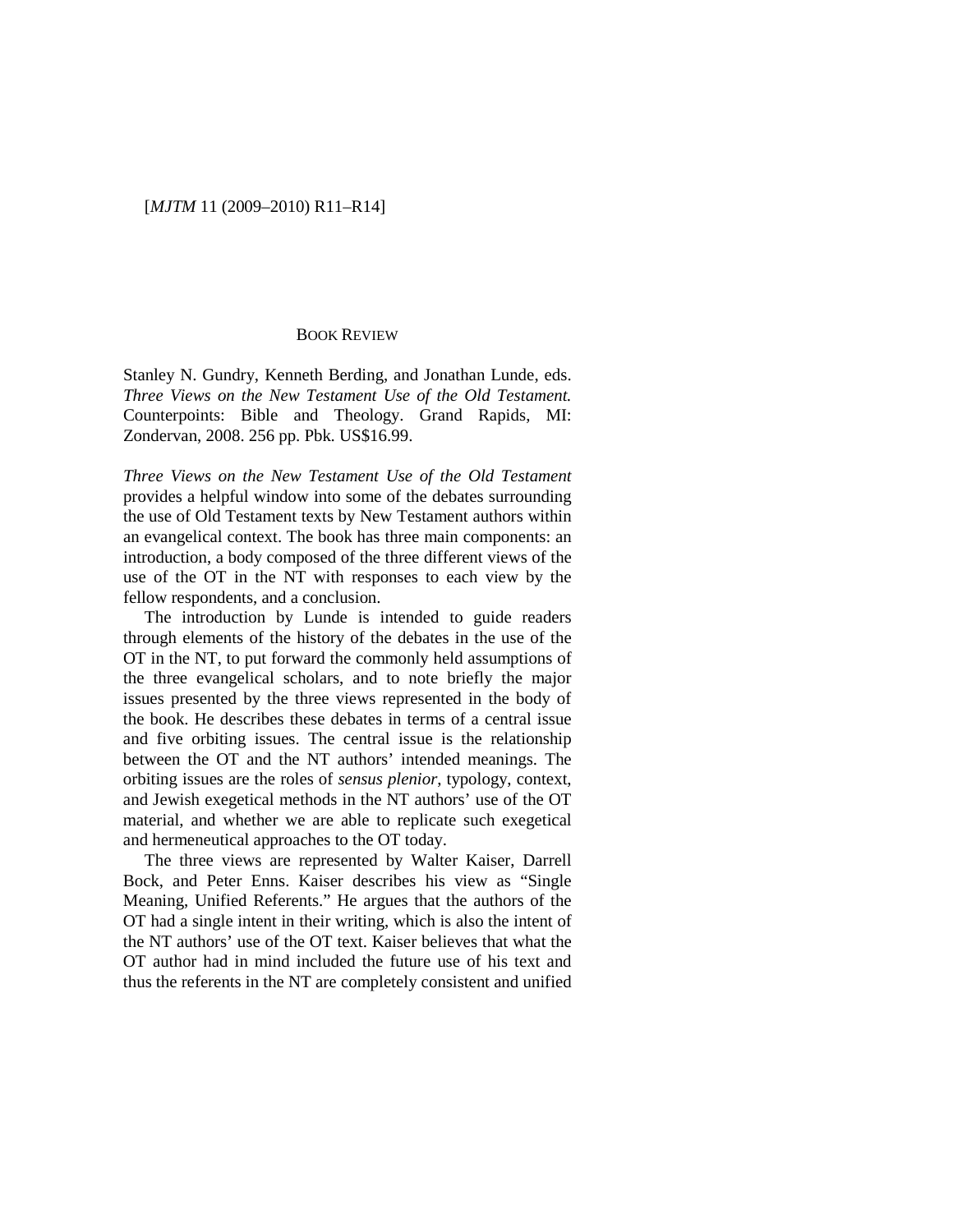## [*MJTM* 11 (2009–2010) R11–R14]

## BOOK REVIEW

Stanley N. Gundry, Kenneth Berding, and Jonathan Lunde, eds. *Three Views on the New Testament Use of the Old Testament.* Counterpoints: Bible and Theology. Grand Rapids, MI: Zondervan, 2008. 256 pp. Pbk. US\$16.99.

*Three Views on the New Testament Use of the Old Testament* provides a helpful window into some of the debates surrounding the use of Old Testament texts by New Testament authors within an evangelical context. The book has three main components: an introduction, a body composed of the three different views of the use of the OT in the NT with responses to each view by the fellow respondents, and a conclusion.

The introduction by Lunde is intended to guide readers through elements of the history of the debates in the use of the OT in the NT, to put forward the commonly held assumptions of the three evangelical scholars, and to note briefly the major issues presented by the three views represented in the body of the book. He describes these debates in terms of a central issue and five orbiting issues. The central issue is the relationship between the OT and the NT authors' intended meanings. The orbiting issues are the roles of *sensus plenior*, typology, context, and Jewish exegetical methods in the NT authors' use of the OT material, and whether we are able to replicate such exegetical and hermeneutical approaches to the OT today.

The three views are represented by Walter Kaiser, Darrell Bock, and Peter Enns. Kaiser describes his view as "Single Meaning, Unified Referents." He argues that the authors of the OT had a single intent in their writing, which is also the intent of the NT authors' use of the OT text. Kaiser believes that what the OT author had in mind included the future use of his text and thus the referents in the NT are completely consistent and unified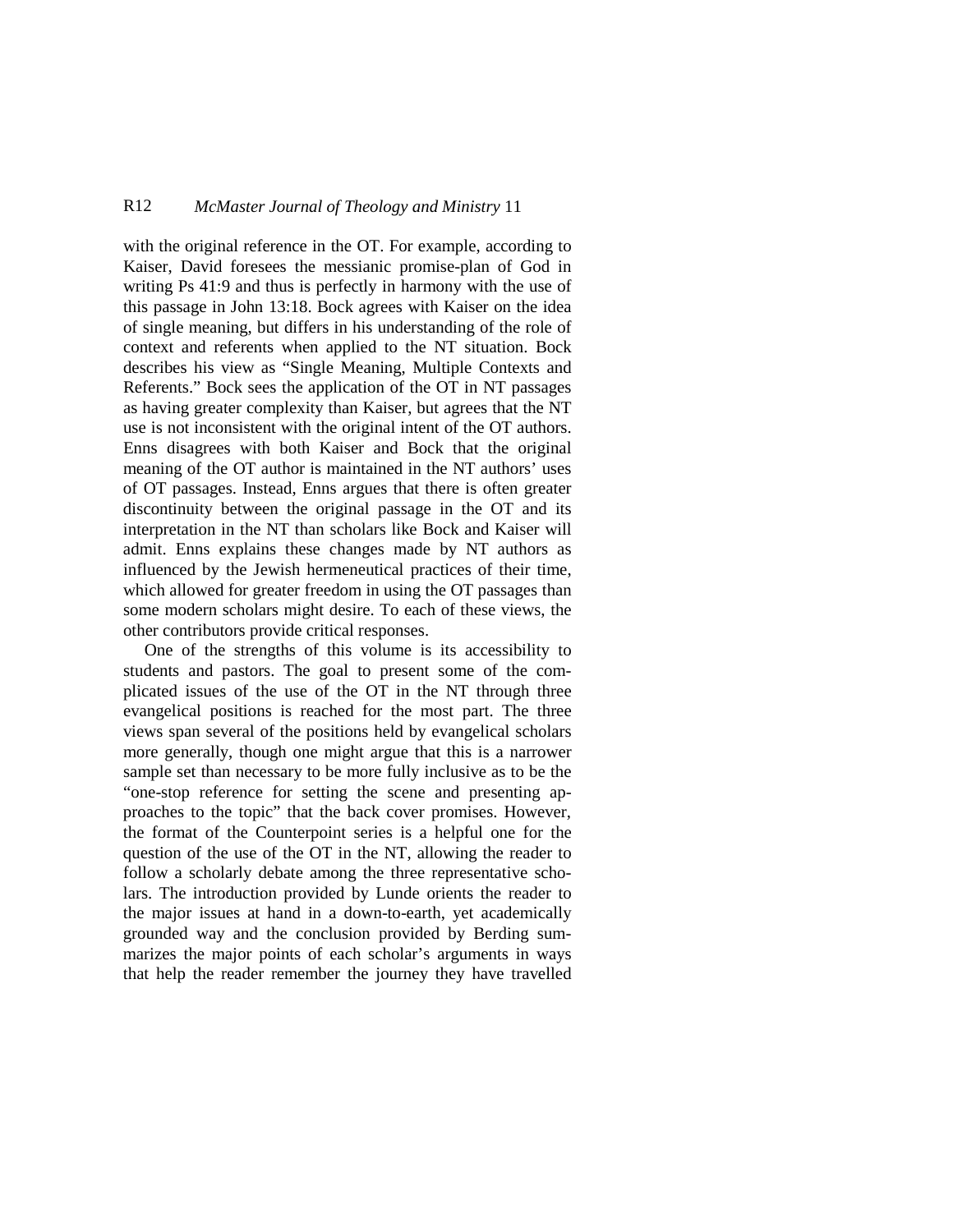## R12 *McMaster Journal of Theology and Ministry* 11

with the original reference in the OT. For example, according to Kaiser, David foresees the messianic promise-plan of God in writing Ps 41:9 and thus is perfectly in harmony with the use of this passage in John 13:18. Bock agrees with Kaiser on the idea of single meaning, but differs in his understanding of the role of context and referents when applied to the NT situation. Bock describes his view as "Single Meaning, Multiple Contexts and Referents." Bock sees the application of the OT in NT passages as having greater complexity than Kaiser, but agrees that the NT use is not inconsistent with the original intent of the OT authors. Enns disagrees with both Kaiser and Bock that the original meaning of the OT author is maintained in the NT authors' uses of OT passages. Instead, Enns argues that there is often greater discontinuity between the original passage in the OT and its interpretation in the NT than scholars like Bock and Kaiser will admit. Enns explains these changes made by NT authors as influenced by the Jewish hermeneutical practices of their time, which allowed for greater freedom in using the OT passages than some modern scholars might desire. To each of these views, the other contributors provide critical responses.

One of the strengths of this volume is its accessibility to students and pastors. The goal to present some of the complicated issues of the use of the OT in the NT through three evangelical positions is reached for the most part. The three views span several of the positions held by evangelical scholars more generally, though one might argue that this is a narrower sample set than necessary to be more fully inclusive as to be the "one-stop reference for setting the scene and presenting approaches to the topic" that the back cover promises. However, the format of the Counterpoint series is a helpful one for the question of the use of the OT in the NT, allowing the reader to follow a scholarly debate among the three representative scholars. The introduction provided by Lunde orients the reader to the major issues at hand in a down-to-earth, yet academically grounded way and the conclusion provided by Berding summarizes the major points of each scholar's arguments in ways that help the reader remember the journey they have travelled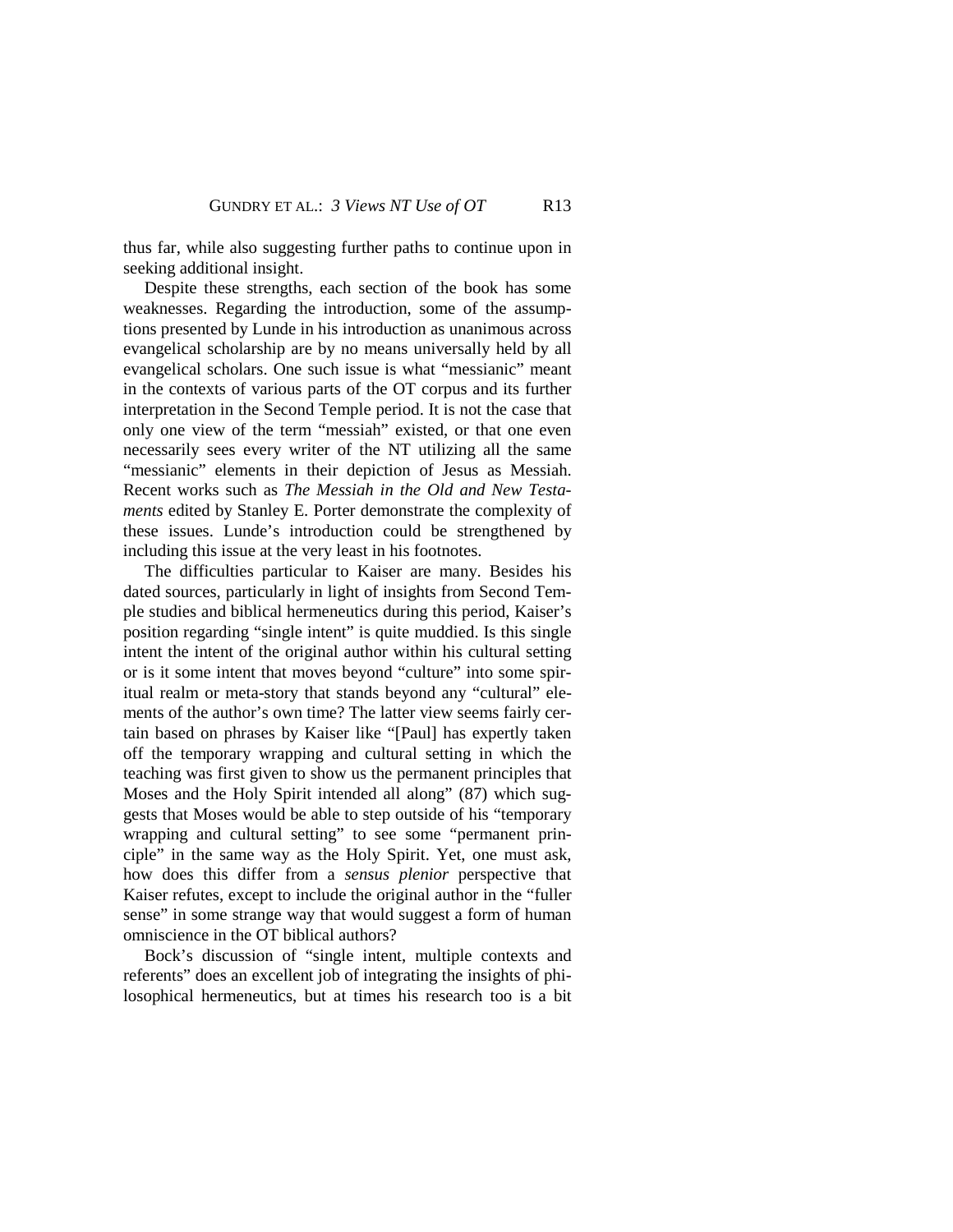thus far, while also suggesting further paths to continue upon in seeking additional insight.

Despite these strengths, each section of the book has some weaknesses. Regarding the introduction, some of the assumptions presented by Lunde in his introduction as unanimous across evangelical scholarship are by no means universally held by all evangelical scholars. One such issue is what "messianic" meant in the contexts of various parts of the OT corpus and its further interpretation in the Second Temple period. It is not the case that only one view of the term "messiah" existed, or that one even necessarily sees every writer of the NT utilizing all the same "messianic" elements in their depiction of Jesus as Messiah. Recent works such as *The Messiah in the Old and New Testaments* edited by Stanley E. Porter demonstrate the complexity of these issues. Lunde's introduction could be strengthened by including this issue at the very least in his footnotes.

The difficulties particular to Kaiser are many. Besides his dated sources, particularly in light of insights from Second Temple studies and biblical hermeneutics during this period, Kaiser's position regarding "single intent" is quite muddied. Is this single intent the intent of the original author within his cultural setting or is it some intent that moves beyond "culture" into some spiritual realm or meta-story that stands beyond any "cultural" elements of the author's own time? The latter view seems fairly certain based on phrases by Kaiser like "[Paul] has expertly taken off the temporary wrapping and cultural setting in which the teaching was first given to show us the permanent principles that Moses and the Holy Spirit intended all along" (87) which suggests that Moses would be able to step outside of his "temporary wrapping and cultural setting" to see some "permanent principle" in the same way as the Holy Spirit. Yet, one must ask, how does this differ from a *sensus plenior* perspective that Kaiser refutes, except to include the original author in the "fuller sense" in some strange way that would suggest a form of human omniscience in the OT biblical authors?

Bock's discussion of "single intent, multiple contexts and referents" does an excellent job of integrating the insights of philosophical hermeneutics, but at times his research too is a bit